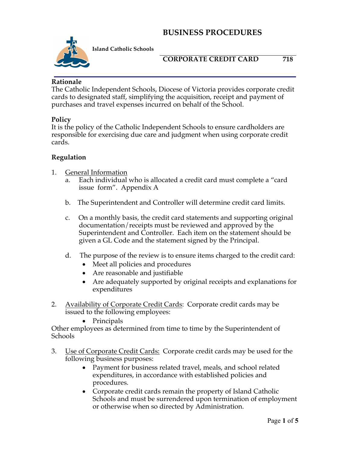

**Island Catholic Schools** 

### **CORPORATE CREDIT CARD 718**

**Rationale**

The Catholic Independent Schools, Diocese of Victoria provides corporate credit cards to designated staff, simplifying the acquisition, receipt and payment of purchases and travel expenses incurred on behalf of the School.

#### **Policy**

It is the policy of the Catholic Independent Schools to ensure cardholders are responsible for exercising due care and judgment when using corporate credit cards.

#### **Regulation**

- 1. General Information
	- a. Each individual who is allocated a credit card must complete a "card issue form". Appendix A
	- b. The Superintendent and Controller will determine credit card limits.
	- c. On a monthly basis, the credit card statements and supporting original documentation/receipts must be reviewed and approved by the Superintendent and Controller. Each item on the statement should be given a GL Code and the statement signed by the Principal.
	- d. The purpose of the review is to ensure items charged to the credit card:
		- Meet all policies and procedures
		- Are reasonable and justifiable
		- Are adequately supported by original receipts and explanations for expenditures
- 2. Availability of Corporate Credit Cards: Corporate credit cards may be issued to the following employees:
	- Principals

Other employees as determined from time to time by the Superintendent of Schools

- 3. Use of Corporate Credit Cards: Corporate credit cards may be used for the following business purposes:
	- Payment for business related travel, meals, and school related expenditures, in accordance with established policies and procedures.
	- Corporate credit cards remain the property of Island Catholic Schools and must be surrendered upon termination of employment or otherwise when so directed by Administration.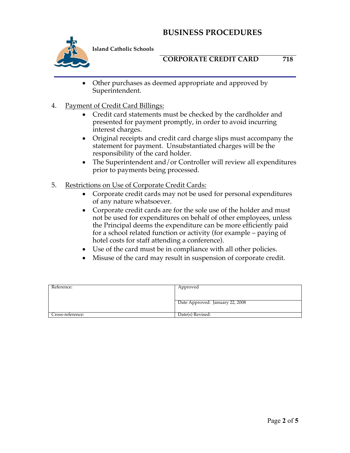

**Island Catholic Schools** 

### **CORPORATE CREDIT CARD 718**

- Other purchases as deemed appropriate and approved by Superintendent.
- 4. Payment of Credit Card Billings:
	- Credit card statements must be checked by the cardholder and presented for payment promptly, in order to avoid incurring interest charges.
	- Original receipts and credit card charge slips must accompany the statement for payment. Unsubstantiated charges will be the responsibility of the card holder.
	- The Superintendent and/or Controller will review all expenditures prior to payments being processed.
- 5. Restrictions on Use of Corporate Credit Cards:
	- Corporate credit cards may not be used for personal expenditures of any nature whatsoever.
	- Corporate credit cards are for the sole use of the holder and must not be used for expenditures on behalf of other employees, unless the Principal deems the expenditure can be more efficiently paid for a school related function or activity (for example – paying of hotel costs for staff attending a conference).
	- Use of the card must be in compliance with all other policies.
	- Misuse of the card may result in suspension of corporate credit.

| Reference:       | Approved                        |
|------------------|---------------------------------|
|                  |                                 |
|                  | Date Approved: January 22, 2008 |
|                  |                                 |
| Cross-reference: | Date(s) Revised:                |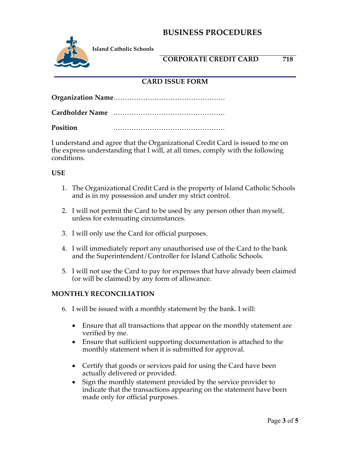

**Island Catholic Schools** 

### **CORPORATE CREDIT CARD 718**

### **CARD ISSUE FORM**

**Organization Name**………………………………………….

**Cardholder Name** ………………………………………….

**Position** ………………………………………….

I understand and agree that the Organizational Credit Card is issued to me on the express understanding that I will, at all times, comply with the following conditions.

#### **USE**

- 1. The Organizational Credit Card is the property of Island Catholic Schools and is in my possession and under my strict control.
- 2. I will not permit the Card to be used by any person other than myself, unless for extenuating circumstances.
- 3. I will only use the Card for official purposes.
- 4. I will immediately report any unauthorised use of the Card to the bank and the Superintendent/Controller for Island Catholic Schools.
- 5. I will not use the Card to pay for expenses that have already been claimed (or will be claimed) by any form of allowance.

#### **MONTHLY RECONCILIATION**

- 6. I will be issued with a monthly statement by the bank. I will:
	- Ensure that all transactions that appear on the monthly statement are verified by me.
	- Ensure that sufficient supporting documentation is attached to the monthly statement when it is submitted for approval.
	- Certify that goods or services paid for using the Card have been actually delivered or provided.
	- Sign the monthly statement provided by the service provider to indicate that the transactions appearing on the statement have been made only for official purposes.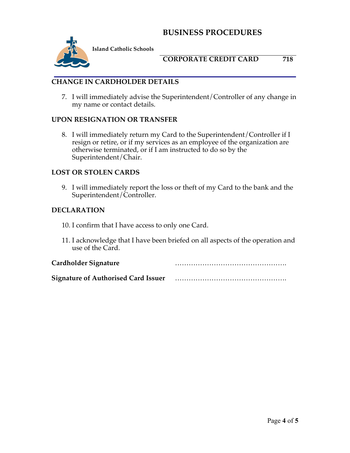

**Island Catholic Schools** 

### **CORPORATE CREDIT CARD 718**

### **CHANGE IN CARDHOLDER DETAILS**

7. I will immediately advise the Superintendent/Controller of any change in my name or contact details.

#### **UPON RESIGNATION OR TRANSFER**

8. I will immediately return my Card to the Superintendent/Controller if I resign or retire, or if my services as an employee of the organization are otherwise terminated, or if I am instructed to do so by the Superintendent/Chair.

#### **LOST OR STOLEN CARDS**

9. I will immediately report the loss or theft of my Card to the bank and the Superintendent/Controller.

#### **DECLARATION**

- 10. I confirm that I have access to only one Card.
- 11. I acknowledge that I have been briefed on all aspects of the operation and use of the Card.

| Cardholder Signature                       |  |
|--------------------------------------------|--|
| <b>Signature of Authorised Card Issuer</b> |  |